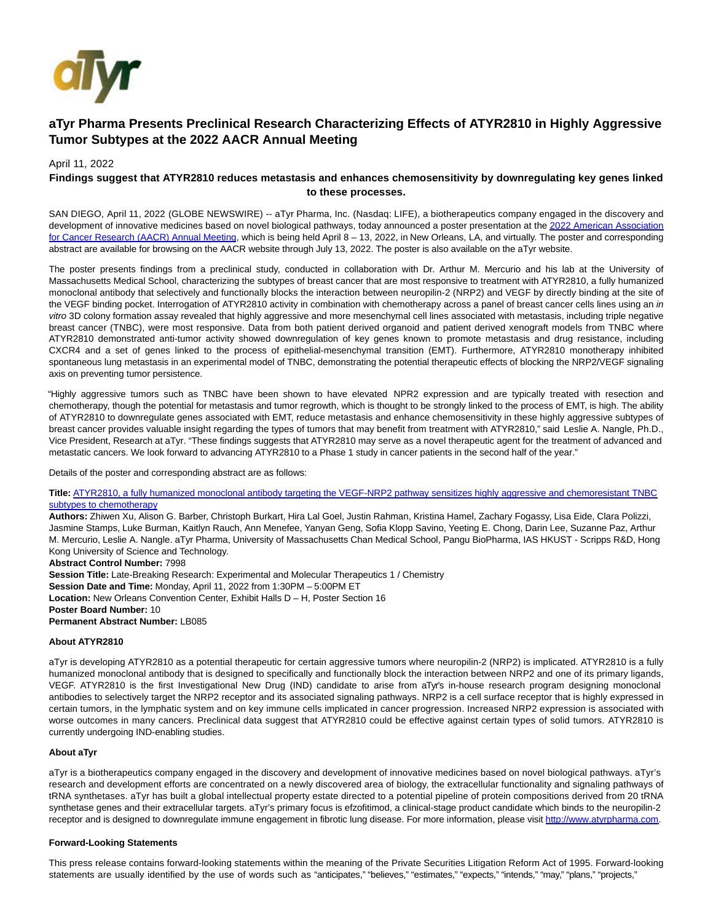

# **aTyr Pharma Presents Preclinical Research Characterizing Effects of ATYR2810 in Highly Aggressive Tumor Subtypes at the 2022 AACR Annual Meeting**

## April 11, 2022

## **Findings suggest that ATYR2810 reduces metastasis and enhances chemosensitivity by downregulating key genes linked to these processes.**

SAN DIEGO, April 11, 2022 (GLOBE NEWSWIRE) -- aTyr Pharma, Inc. (Nasdaq: LIFE), a biotherapeutics company engaged in the discovery and development of innovative medicines based on novel biological pathways, today announced a poster presentation at the 2022 American Association for Cancer Researc[h \(AACR\) Annual Meeting, which is being held April 8 – 13, 2022, in New Orleans, LA, and virtually. The poster and corresponding](https://www.globenewswire.com/Tracker?data=_-nk7gGZDYc6dIwa-fYybM8R8XL591OceiISIesLPcJBTfuxxBdjgN8SOA3Ay-XTgoqDmJKw46UtaIv9Xgq828YhtUTeMH-TOzwXmx7hJUaBHNSkXskQoDMTCzyFKWZ92e24qUeIhbQ3-eH8FNWpFeZgYZK_fS7cxGmdZV6phcj0x0kKcHUfSzTbQvTigEAW) abstract are available for browsing on the AACR website through July 13, 2022. The poster is also available on the aTyr website.

The poster presents findings from a preclinical study, conducted in collaboration with Dr. Arthur M. Mercurio and his lab at the University of Massachusetts Medical School, characterizing the subtypes of breast cancer that are most responsive to treatment with ATYR2810, a fully humanized monoclonal antibody that selectively and functionally blocks the interaction between neuropilin-2 (NRP2) and VEGF by directly binding at the site of the VEGF binding pocket. Interrogation of ATYR2810 activity in combination with chemotherapy across a panel of breast cancer cells lines using an in vitro 3D colony formation assay revealed that highly aggressive and more mesenchymal cell lines associated with metastasis, including triple negative breast cancer (TNBC), were most responsive. Data from both patient derived organoid and patient derived xenograft models from TNBC where ATYR2810 demonstrated anti-tumor activity showed downregulation of key genes known to promote metastasis and drug resistance, including CXCR4 and a set of genes linked to the process of epithelial-mesenchymal transition (EMT). Furthermore, ATYR2810 monotherapy inhibited spontaneous lung metastasis in an experimental model of TNBC, demonstrating the potential therapeutic effects of blocking the NRP2/VEGF signaling axis on preventing tumor persistence.

"Highly aggressive tumors such as TNBC have been shown to have elevated NPR2 expression and are typically treated with resection and chemotherapy, though the potential for metastasis and tumor regrowth, which is thought to be strongly linked to the process of EMT, is high. The ability of ATYR2810 to downregulate genes associated with EMT, reduce metastasis and enhance chemosensitivity in these highly aggressive subtypes of breast cancer provides valuable insight regarding the types of tumors that may benefit from treatment with ATYR2810," said Leslie A. Nangle, Ph.D., Vice President, Research at aTyr. "These findings suggests that ATYR2810 may serve as a novel therapeutic agent for the treatment of advanced and metastatic cancers. We look forward to advancing ATYR2810 to a Phase 1 study in cancer patients in the second half of the year."

Details of the poster and corresponding abstract are as follows:

**Title:** [ATYR2810, a fully humanized monoclonal antibody targeting the VEGF-NRP2 pathway sensitizes highly aggressive and chemoresistant TNBC](https://www.globenewswire.com/Tracker?data=VqUseaH6pxTdWP_hPCzy4PFvXn22rpma74J-_mc7ohF8rxhEyQxs3-NBs9Ka_fyzE08n7xCAYRfWZx1-4iLBai8ko142fb7VPMIPnK4RJanB85qlVLkO9ql-JodEYSW-IkC_cg7P3PSAmMHM3L1vYsYxg3sSpOfJMpYWZ0OLC9hxcVZyOuqDwjK-oYC-c-R38Gf-F1lrRjqvRnEmF_lKpWGywzhyBV7sbvuBqhhkqU_8MVkN24QbO65J_Xa55qOg_woe7Qjw9EyMHMrK3BTEwuTw6vUEnTV7_RL8GmD9SsxAgxOLjY-_-Kq-LK6t5-b30pU1ZeAg1NZQYLdzP-BsRg==) subtypes to chemotherapy

**Authors:** Zhiwen Xu, Alison G. Barber, Christoph Burkart, Hira Lal Goel, Justin Rahman, Kristina Hamel, Zachary Fogassy, Lisa Eide, Clara Polizzi, Jasmine Stamps, Luke Burman, Kaitlyn Rauch, Ann Menefee, Yanyan Geng, Sofia Klopp Savino, Yeeting E. Chong, Darin Lee, Suzanne Paz, Arthur M. Mercurio, Leslie A. Nangle. aTyr Pharma, University of Massachusetts Chan Medical School, Pangu BioPharma, IAS HKUST - Scripps R&D, Hong Kong University of Science and Technology.

**Abstract Control Number:** 7998

**Session Title:** Late-Breaking Research: Experimental and Molecular Therapeutics 1 / Chemistry **Session Date and Time:** Monday, April 11, 2022 from 1:30PM – 5:00PM ET **Location:** New Orleans Convention Center, Exhibit Halls D – H, Poster Section 16 **Poster Board Number:** 10 **Permanent Abstract Number:** LB085

### **About ATYR2810**

aTyr is developing ATYR2810 as a potential therapeutic for certain aggressive tumors where neuropilin-2 (NRP2) is implicated. ATYR2810 is a fully humanized monoclonal antibody that is designed to specifically and functionally block the interaction between NRP2 and one of its primary ligands, VEGF. ATYR2810 is the first Investigational New Drug (IND) candidate to arise from aTyr's in-house research program designing monoclonal antibodies to selectively target the NRP2 receptor and its associated signaling pathways. NRP2 is a cell surface receptor that is highly expressed in certain tumors, in the lymphatic system and on key immune cells implicated in cancer progression. Increased NRP2 expression is associated with worse outcomes in many cancers. Preclinical data suggest that ATYR2810 could be effective against certain types of solid tumors. ATYR2810 is currently undergoing IND-enabling studies.

#### **About aTyr**

aTyr is a biotherapeutics company engaged in the discovery and development of innovative medicines based on novel biological pathways. aTyr's research and development efforts are concentrated on a newly discovered area of biology, the extracellular functionality and signaling pathways of tRNA synthetases. aTyr has built a global intellectual property estate directed to a potential pipeline of protein compositions derived from 20 tRNA synthetase genes and their extracellular targets. aTyr's primary focus is efzofitimod, a clinical-stage product candidate which binds to the neuropilin-2 receptor and is designed to downregulate immune engagement in fibrotic lung disease. For more information, please visit [http://www.atyrpharma.com.](https://www.globenewswire.com/Tracker?data=FD8pYOU3kRZQ73zeURsWt-Xa_KQbwTm_gayD_AUjNQb8tCcb8NBTdtN9kxc1SszjQflyuGiZP2qZGzhlk4ZLzOEnmeANgXuC2tRvaaO8jrg=)

### **Forward-Looking Statements**

This press release contains forward-looking statements within the meaning of the Private Securities Litigation Reform Act of 1995. Forward-looking statements are usually identified by the use of words such as "anticipates," "believes," "estimates," "expects," "intends," "may," "plans," "projects,"